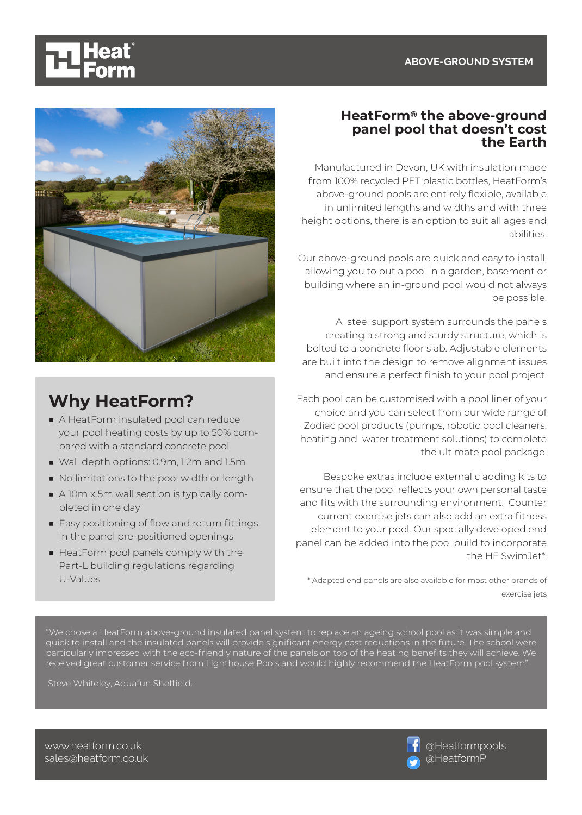## **ABOVE-GROUND SYSTEM**





# **Why HeatForm?**

- A HeatForm insulated pool can reduce your pool heating costs by up to 50% compared with a standard concrete pool
- Wall depth options: 0.9m, 1.2m and 1.5m
- No limitations to the pool width or length
- A 10m x 5m wall section is typically completed in one day
- Easy positioning of flow and return fittings in the panel pre-positioned openings
- HeatForm pool panels comply with the Part-L building regulations regarding U-Values

## **HeatForm® the above-ground panel pool that doesn't cost the Earth**

Manufactured in Devon, UK with insulation made from 100% recycled PET plastic bottles, HeatForm's above-ground pools are entirely flexible, available in unlimited lengths and widths and with three height options, there is an option to suit all ages and abilities.

Our above-ground pools are quick and easy to install, allowing you to put a pool in a garden, basement or building where an in-ground pool would not always be possible.

A steel support system surrounds the panels creating a strong and sturdy structure, which is bolted to a concrete floor slab. Adjustable elements are built into the design to remove alignment issues and ensure a perfect finish to your pool project.

Each pool can be customised with a pool liner of your choice and you can select from our wide range of Zodiac pool products (pumps, robotic pool cleaners, heating and water treatment solutions) to complete the ultimate pool package.

Bespoke extras include external cladding kits to ensure that the pool reflects your own personal taste and fits with the surrounding environment. Counter current exercise jets can also add an extra fitness element to your pool. Our specially developed end panel can be added into the pool build to incorporate the HF SwimJet\*.

\* Adapted end panels are also available for most other brands of exercise jets

"We chose a HeatForm above-ground insulated panel system to replace an ageing school pool as it was simple and quick to install and the insulated panels will provide significant energy cost reductions in the future. The school were particularly impressed with the eco-friendly nature of the panels on top of the heating benefits they will achieve. We received great customer service from Lighthouse Pools and would highly recommend the HeatForm pool system"

Steve Whiteley, Aquafun Sheffield.



www.heatform.co.uk sales@heatform.co.uk